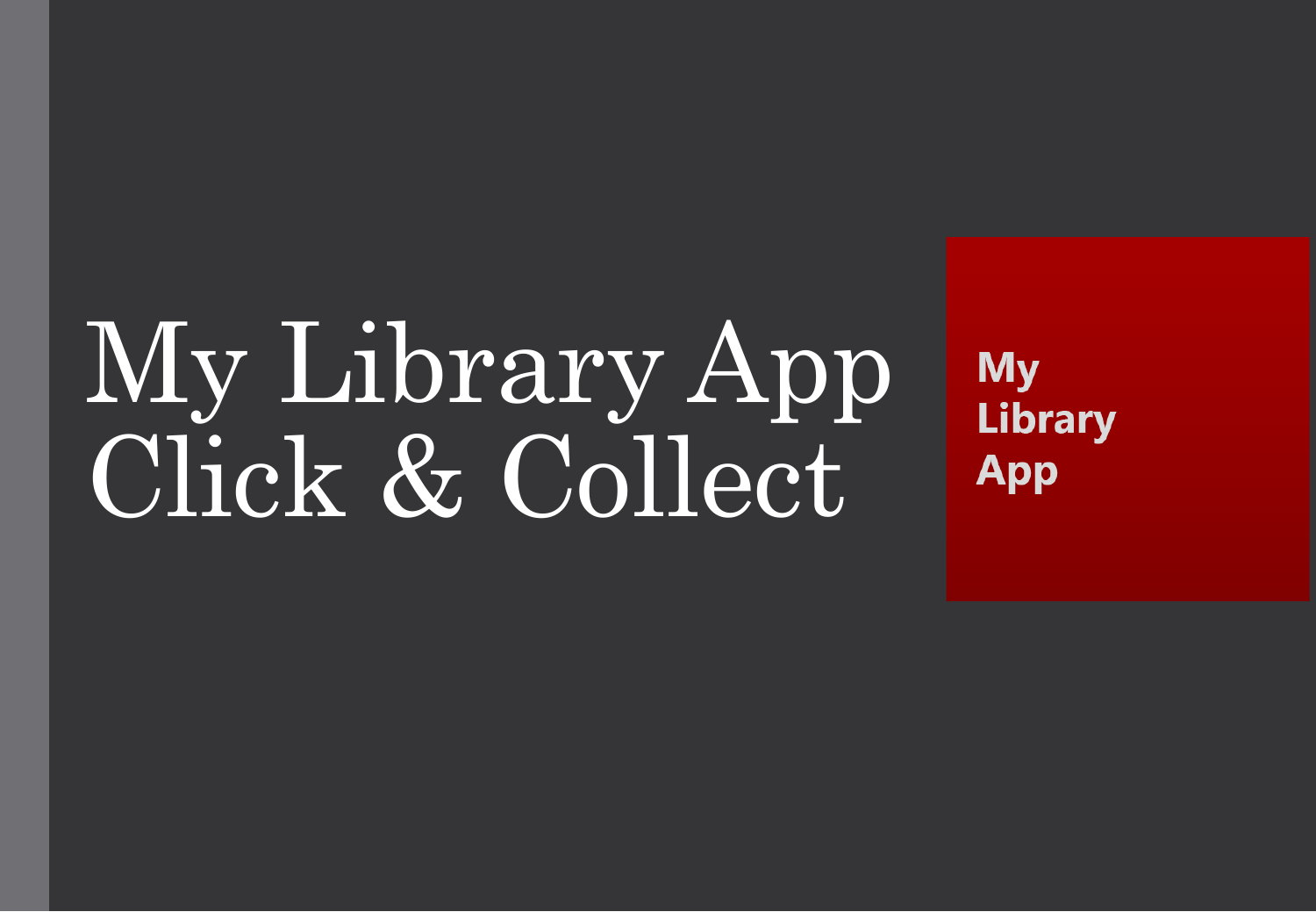# My Library App Click & Collect

**My Library App**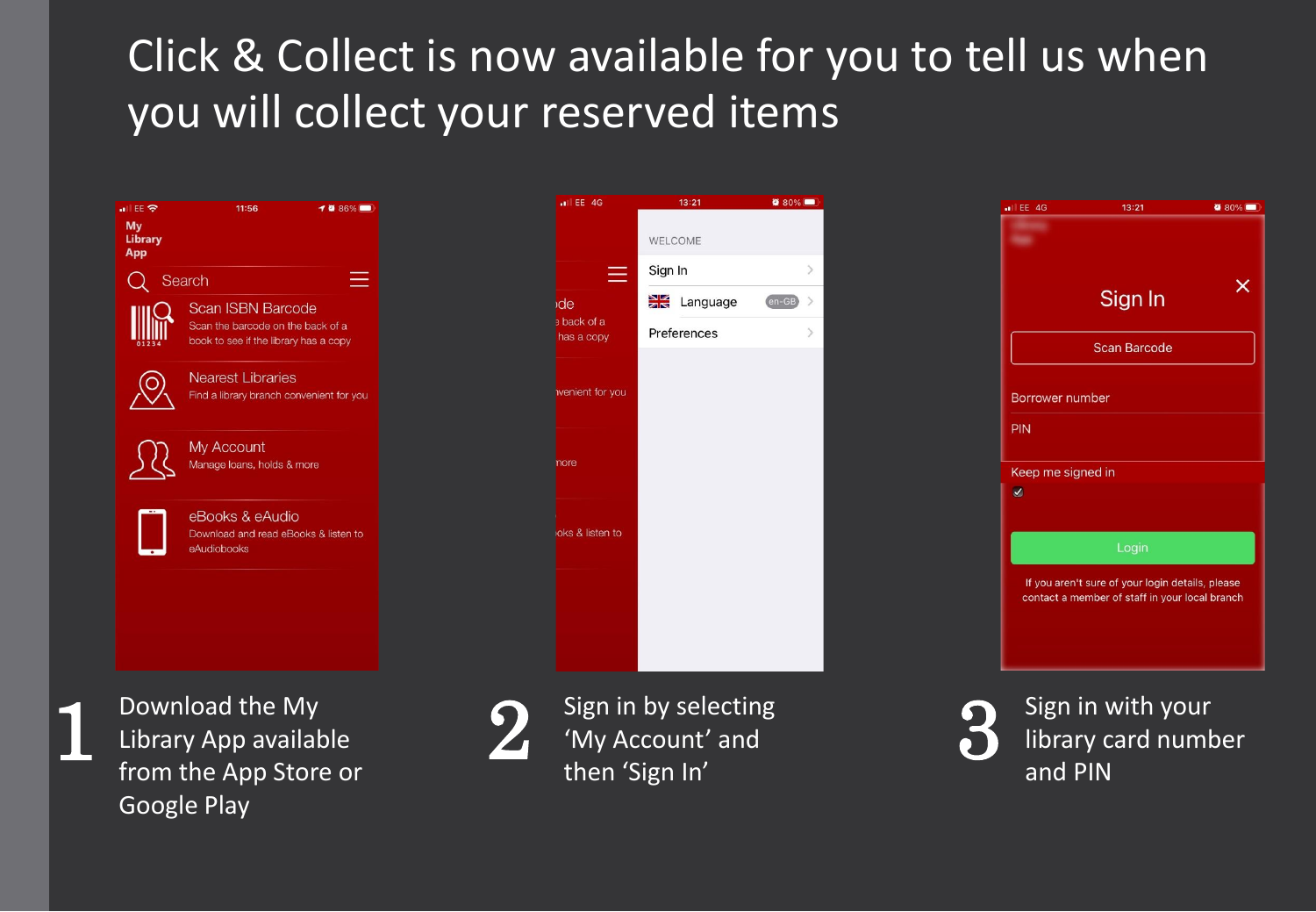## Click & Collect is now available for you to tell us when you will collect your reserved items

 $||$  EE 4G

de **a** back of a has a copy

nore

**Ivenient** for you

loks & listen to

≡

Preferences

Language

 $13:21$ 

**WELCOME** Sign In

 $\bullet$  80%

 $en-GB$ 

| EE 중<br>My<br><b>Library</b><br><b>App</b> | 11:56<br><b>10 86%</b> ■                                                                               |
|--------------------------------------------|--------------------------------------------------------------------------------------------------------|
|                                            | Search                                                                                                 |
|                                            | <b>Scan ISBN Barcode</b><br>Scan the barcode on the back of a<br>book to see if the library has a copy |
|                                            | <b>Nearest Libraries</b><br>Find a library branch convenient for you                                   |
|                                            | My Account<br>Manage loans, holds & more                                                               |
|                                            | eBooks & eAudio<br>Download and read eBooks & listen to<br>eAudiobooks                                 |
|                                            |                                                                                                        |
|                                            | Download the My<br>Library App available<br>from tho Ann Ctoro                                         |

from the App Store or Then 'Sign In' Theorem 2012 Theorem 2012 Google Play



Sign in by selecting





Sign in with your Download the My  $\sum_{\text{sign in by selecting}}$  Sign in by selecting  $\sum_{\text{sign in } \mathcal{N}}$  Sign in with your library card number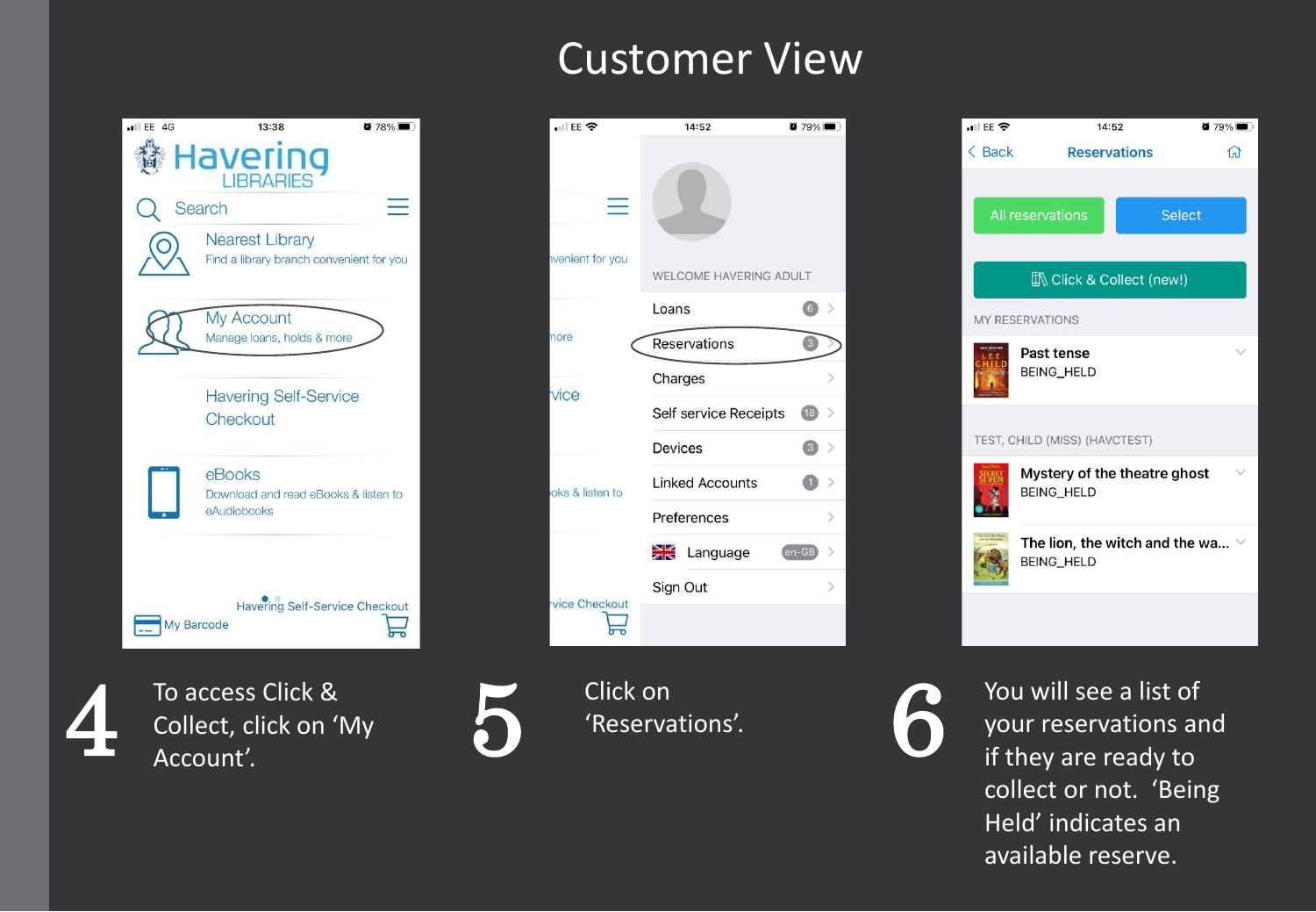



Account'. Account'.





 collect or not. 'Being To access Click & Click on Click on Click on Click on Click on Click on  $\bigotimes$  You will see a list of 4 Collect, click on 'My  $\bigotimes$  'Reservations'.  $\bigotimes$  You will see a list of 4 Your reservations and 4 Account'. Held' indicates an available reserve.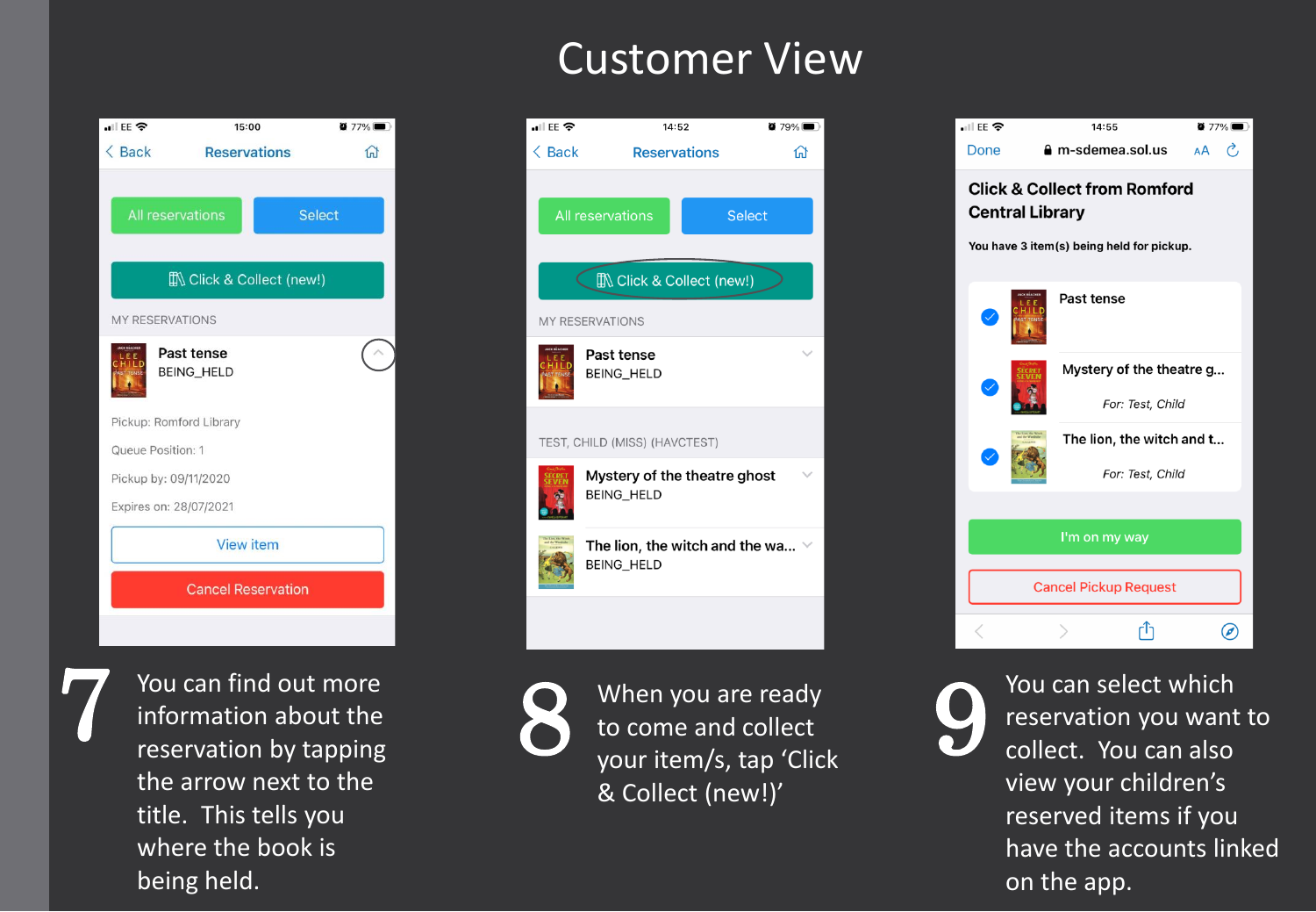![](_page_3_Picture_1.jpeg)

title. This tells you being held. The contract of the app. The contract of the app. The contract of the app. 7

![](_page_3_Picture_3.jpeg)

![](_page_3_Picture_4.jpeg)

your item/s, tap 'Click

![](_page_3_Picture_6.jpeg)

You can find out more  $\begin{array}{ccc} \bigcirc & \text{When you are ready} & \text{You can select which} \\ \text{information about the} & \bigcirc & \text{to come and collect} \end{array}$ You can find out more<br>information about the to come and collect esservation by tapping<br>the collect. You can also your item/s, tap 'Click<br>collect. You can also the arrow next to the view your children's view your children's view your children's view your children's view your children's view your children's view your children's view your children's view you reserved items if you where the book is have the accounts linked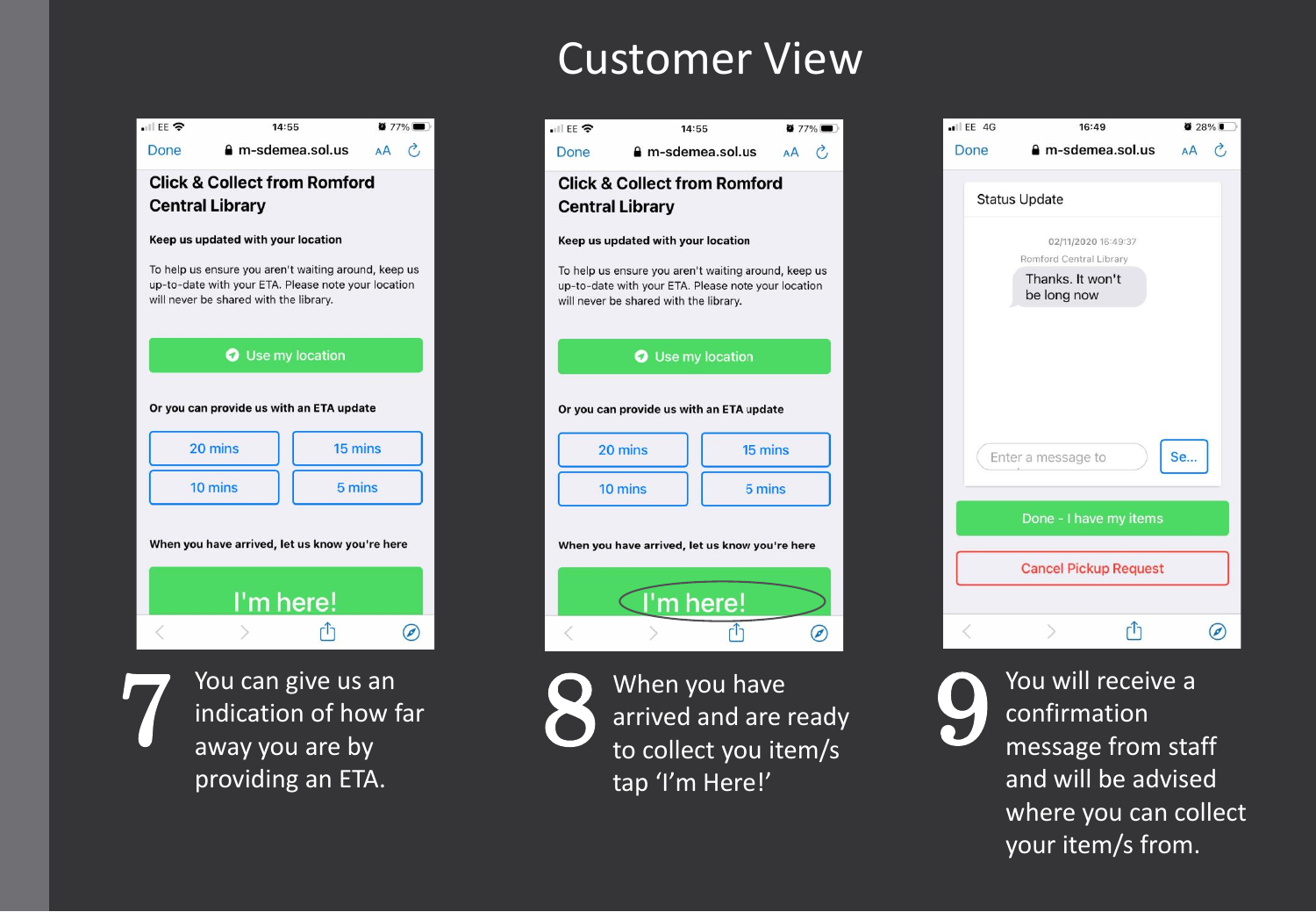![](_page_4_Figure_1.jpeg)

![](_page_4_Picture_2.jpeg)

![](_page_4_Picture_3.jpeg)

providing an ETA. The stap 'I'm Here!' The state of and will be advised You can give us an When you have You will receive a 7 indication of how far 8 arrived and are ready 9 arrived and are ready 19 away you are by away you are by to collect you item/s message from staff

![](_page_4_Picture_5.jpeg)

![](_page_4_Picture_6.jpeg)

where you can collect your item/s from.